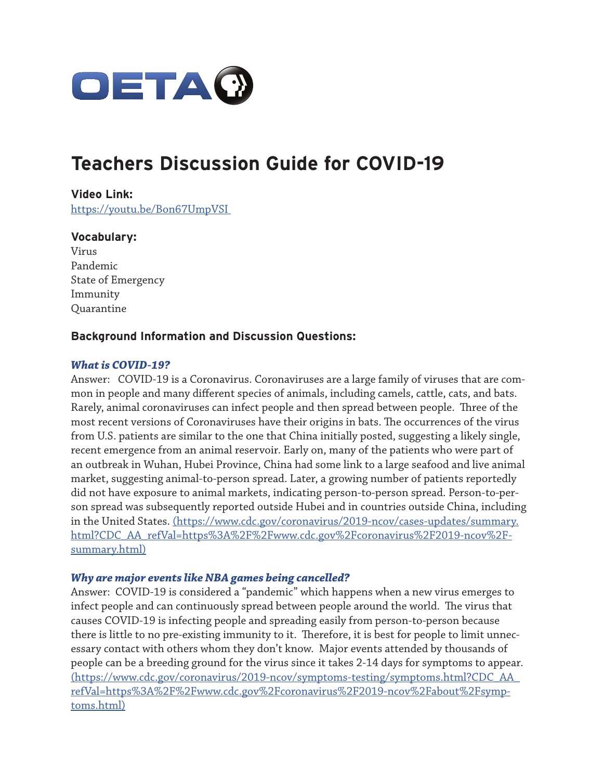

# **Teachers Discussion Guide for COVID-19**

**Video Link:**  https://youtu.be/Bon67UmpVSI

#### **Vocabulary:**

Virus Pandemic State of Emergency Immunity **Quarantine** 

### **Background Information and Discussion Questions:**

#### *What is COVID-19?*

Answer: COVID-19 is a Coronavirus. Coronaviruses are a large family of viruses that are common in people and many different species of animals, including camels, cattle, cats, and bats. Rarely, animal coronaviruses can infect people and then spread between people. Three of the most recent versions of Coronaviruses have their origins in bats. The occurrences of the virus from U.S. patients are similar to the one that China initially posted, suggesting a likely single, recent emergence from an animal reservoir. Early on, many of the patients who were part of an outbreak in Wuhan, Hubei Province, China had some link to a large seafood and live animal market, suggesting animal-to-person spread. Later, a growing number of patients reportedly did not have exposure to animal markets, indicating person-to-person spread. Person-to-person spread was subsequently reported outside Hubei and in countries outside China, including in the United States. (https://www.cdc.gov/coronavirus/2019-ncov/cases-updates/summary. html?CDC\_AA\_refVal=https%3A%2F%2Fwww.cdc.gov%2Fcoronavirus%2F2019-ncov%2Fsummary.html)

#### *Why are major events like NBA games being cancelled?*

Answer: COVID-19 is considered a "pandemic" which happens when a new virus emerges to infect people and can continuously spread between people around the world. The virus that causes COVID-19 is infecting people and spreading easily from person-to-person because there is little to no pre-existing immunity to it. Therefore, it is best for people to limit unnecessary contact with others whom they don't know. Major events attended by thousands of people can be a breeding ground for the virus since it takes 2-14 days for symptoms to appear. (https://www.cdc.gov/coronavirus/2019-ncov/symptoms-testing/symptoms.html?CDC\_AA\_ refVal=https%3A%2F%2Fwww.cdc.gov%2Fcoronavirus%2F2019-ncov%2Fabout%2Fsymptoms.html)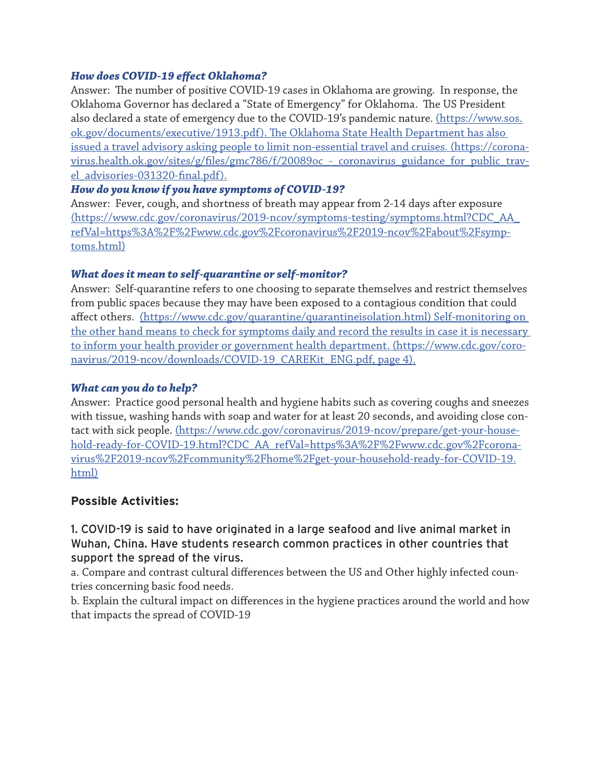### *How does COVID-19 effect Oklahoma?*

Answer: The number of positive COVID-19 cases in Oklahoma are growing. In response, the Oklahoma Governor has declared a "State of Emergency" for Oklahoma. The US President also declared a state of emergency due to the COVID-19's pandemic nature. (https://www.sos. ok.gov/documents/executive/1913.pdf). The Oklahoma State Health Department has also issued a travel advisory asking people to limit non-essential travel and cruises. (https://coronavirus.health.ok.gov/sites/g/files/gmc786/f/20089oc - coronavirus guidance for public travel\_advisories-031320-final.pdf).

#### *How do you know if you have symptoms of COVID-19?*

Answer: Fever, cough, and shortness of breath may appear from 2-14 days after exposure (https://www.cdc.gov/coronavirus/2019-ncov/symptoms-testing/symptoms.html?CDC\_AA\_ refVal=https%3A%2F%2Fwww.cdc.gov%2Fcoronavirus%2F2019-ncov%2Fabout%2Fsymptoms.html)

#### *What does it mean to self-quarantine or self-monitor?*

Answer: Self-quarantine refers to one choosing to separate themselves and restrict themselves from public spaces because they may have been exposed to a contagious condition that could affect others. (https://www.cdc.gov/quarantine/quarantineisolation.html) Self-monitoring on the other hand means to check for symptoms daily and record the results in case it is necessary to inform your health provider or government health department. (https://www.cdc.gov/coronavirus/2019-ncov/downloads/COVID-19 CAREKit ENG.pdf, page 4).

#### *What can you do to help?*

Answer: Practice good personal health and hygiene habits such as covering coughs and sneezes with tissue, washing hands with soap and water for at least 20 seconds, and avoiding close contact with sick people. (https://www.cdc.gov/coronavirus/2019-ncov/prepare/get-your-household-ready-for-COVID-19.html?CDC\_AA\_refVal=https%3A%2F%2Fwww.cdc.gov%2Fcoronavirus%2F2019-ncov%2Fcommunity%2Fhome%2Fget-your-household-ready-for-COVID-19. html)

### **Possible Activities:**

1. COVID-19 is said to have originated in a large seafood and live animal market in Wuhan, China. Have students research common practices in other countries that support the spread of the virus.

a. Compare and contrast cultural differences between the US and Other highly infected countries concerning basic food needs.

b. Explain the cultural impact on differences in the hygiene practices around the world and how that impacts the spread of COVID-19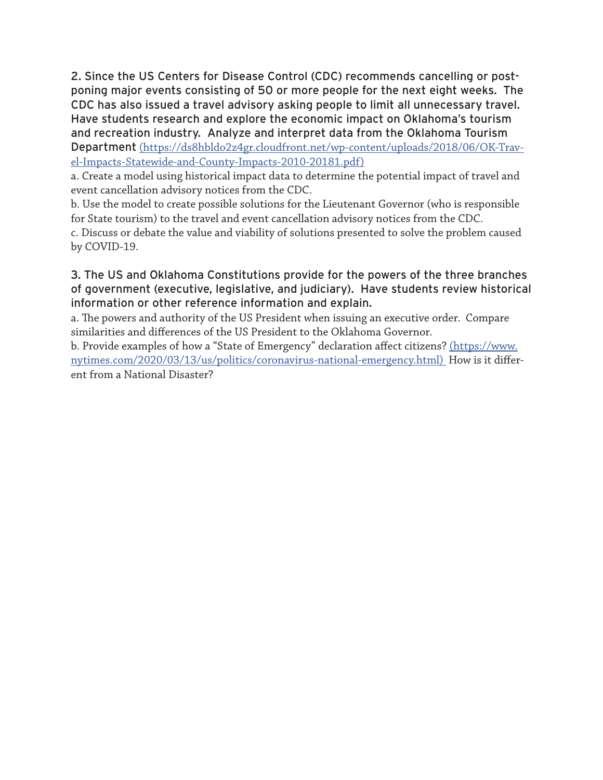2. Since the US Centers for Disease Control (CDC) recommends cancelling or postponing major events consisting of 50 or more people for the next eight weeks. The CDC has also issued a travel advisory asking people to limit all unnecessary travel. Have students research and explore the economic impact on Oklahoma's tourism and recreation industry. Analyze and interpret data from the Oklahoma Tourism Department (https://ds8hbldo2z4gr.cloudfront.net/wp-content/uploads/2018/06/OK-Travel-Impacts-Statewide-and-County-Impacts-2010-20181.pdf)

a. Create a model using historical impact data to determine the potential impact of travel and event cancellation advisory notices from the CDC.

b. Use the model to create possible solutions for the Lieutenant Governor (who is responsible for State tourism) to the travel and event cancellation advisory notices from the CDC.

c. Discuss or debate the value and viability of solutions presented to solve the problem caused by COVID-19.

## 3. The US and Oklahoma Constitutions provide for the powers of the three branches of government (executive, legislative, and judiciary). Have students review historical information or other reference information and explain.

a. The powers and authority of the US President when issuing an executive order. Compare similarities and differences of the US President to the Oklahoma Governor.

b. Provide examples of how a "State of Emergency" declaration affect citizens? (https://www. nytimes.com/2020/03/13/us/politics/coronavirus-national-emergency.html) How is it different from a National Disaster?